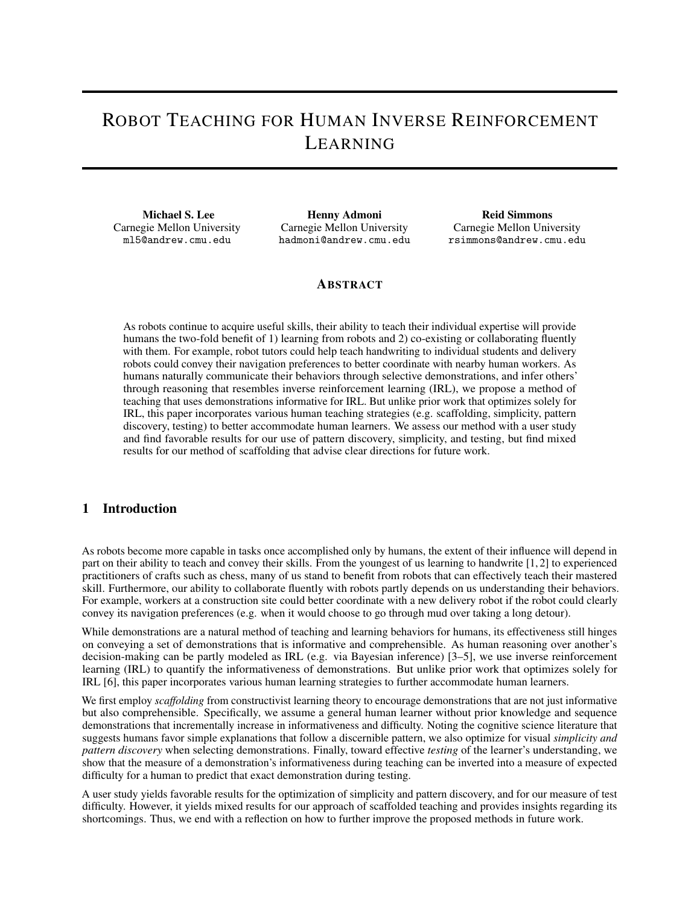# ROBOT TEACHING FOR HUMAN INVERSE REINFORCEMENT LEARNING

Michael S. Lee Carnegie Mellon University ml5@andrew.cmu.edu

Henny Admoni Carnegie Mellon University hadmoni@andrew.cmu.edu

Reid Simmons Carnegie Mellon University rsimmons@andrew.cmu.edu

### ABSTRACT

As robots continue to acquire useful skills, their ability to teach their individual expertise will provide humans the two-fold benefit of 1) learning from robots and 2) co-existing or collaborating fluently with them. For example, robot tutors could help teach handwriting to individual students and delivery robots could convey their navigation preferences to better coordinate with nearby human workers. As humans naturally communicate their behaviors through selective demonstrations, and infer others' through reasoning that resembles inverse reinforcement learning (IRL), we propose a method of teaching that uses demonstrations informative for IRL. But unlike prior work that optimizes solely for IRL, this paper incorporates various human teaching strategies (e.g. scaffolding, simplicity, pattern discovery, testing) to better accommodate human learners. We assess our method with a user study and find favorable results for our use of pattern discovery, simplicity, and testing, but find mixed results for our method of scaffolding that advise clear directions for future work.

## 1 Introduction

As robots become more capable in tasks once accomplished only by humans, the extent of their influence will depend in part on their ability to teach and convey their skills. From the youngest of us learning to handwrite [\[1,](#page-4-0) [2\]](#page-4-1) to experienced practitioners of crafts such as chess, many of us stand to benefit from robots that can effectively teach their mastered skill. Furthermore, our ability to collaborate fluently with robots partly depends on us understanding their behaviors. For example, workers at a construction site could better coordinate with a new delivery robot if the robot could clearly convey its navigation preferences (e.g. when it would choose to go through mud over taking a long detour).

While demonstrations are a natural method of teaching and learning behaviors for humans, its effectiveness still hinges on conveying a set of demonstrations that is informative and comprehensible. As human reasoning over another's decision-making can be partly modeled as IRL (e.g. via Bayesian inference) [\[3](#page-4-2)[–5\]](#page-4-3), we use inverse reinforcement learning (IRL) to quantify the informativeness of demonstrations. But unlike prior work that optimizes solely for IRL [\[6\]](#page-4-4), this paper incorporates various human learning strategies to further accommodate human learners.

We first employ *scaffolding* from constructivist learning theory to encourage demonstrations that are not just informative but also comprehensible. Specifically, we assume a general human learner without prior knowledge and sequence demonstrations that incrementally increase in informativeness and difficulty. Noting the cognitive science literature that suggests humans favor simple explanations that follow a discernible pattern, we also optimize for visual *simplicity and pattern discovery* when selecting demonstrations. Finally, toward effective *testing* of the learner's understanding, we show that the measure of a demonstration's informativeness during teaching can be inverted into a measure of expected difficulty for a human to predict that exact demonstration during testing.

A user study yields favorable results for the optimization of simplicity and pattern discovery, and for our measure of test difficulty. However, it yields mixed results for our approach of scaffolded teaching and provides insights regarding its shortcomings. Thus, we end with a reflection on how to further improve the proposed methods in future work.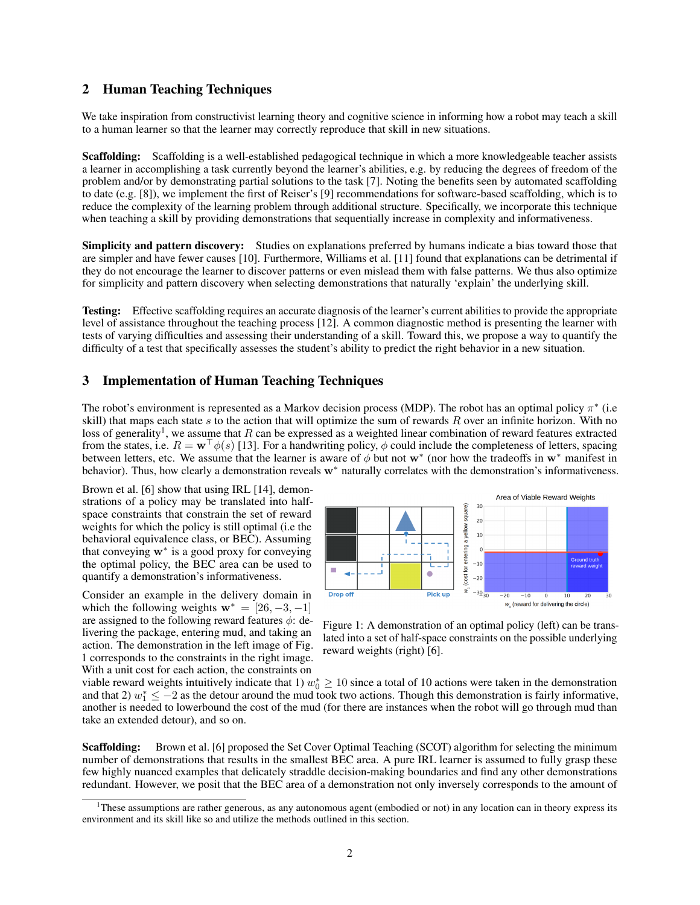## 2 Human Teaching Techniques

We take inspiration from constructivist learning theory and cognitive science in informing how a robot may teach a skill to a human learner so that the learner may correctly reproduce that skill in new situations.

Scaffolding: Scaffolding is a well-established pedagogical technique in which a more knowledgeable teacher assists a learner in accomplishing a task currently beyond the learner's abilities, e.g. by reducing the degrees of freedom of the problem and/or by demonstrating partial solutions to the task [\[7\]](#page-4-5). Noting the benefits seen by automated scaffolding to date (e.g. [\[8\]](#page-4-6)), we implement the first of Reiser's [\[9\]](#page-4-7) recommendations for software-based scaffolding, which is to reduce the complexity of the learning problem through additional structure. Specifically, we incorporate this technique when teaching a skill by providing demonstrations that sequentially increase in complexity and informativeness.

Simplicity and pattern discovery: Studies on explanations preferred by humans indicate a bias toward those that are simpler and have fewer causes [\[10\]](#page-4-8). Furthermore, Williams et al. [\[11\]](#page-5-0) found that explanations can be detrimental if they do not encourage the learner to discover patterns or even mislead them with false patterns. We thus also optimize for simplicity and pattern discovery when selecting demonstrations that naturally 'explain' the underlying skill.

Testing: Effective scaffolding requires an accurate diagnosis of the learner's current abilities to provide the appropriate level of assistance throughout the teaching process [\[12\]](#page-5-1). A common diagnostic method is presenting the learner with tests of varying difficulties and assessing their understanding of a skill. Toward this, we propose a way to quantify the difficulty of a test that specifically assesses the student's ability to predict the right behavior in a new situation.

## 3 Implementation of Human Teaching Techniques

The robot's environment is represented as a Markov decision process (MDP). The robot has an optimal policy  $\pi^*$  (i.e. skill) that maps each state  $s$  to the action that will optimize the sum of rewards  $R$  over an infinite horizon. With no loss of generality<sup>[1](#page-1-0)</sup>, we assume that R can be expressed as a weighted linear combination of reward features extracted from the states, i.e.  $R = \mathbf{w}^\top \phi(s)$  [\[13\]](#page-5-2). For a handwriting policy,  $\phi$  could include the completeness of letters, spacing between letters, etc. We assume that the learner is aware of  $\phi$  but not w<sup>\*</sup> (nor how the tradeoffs in w<sup>\*</sup> manifest in behavior). Thus, how clearly a demonstration reveals w<sup>∗</sup> naturally correlates with the demonstration's informativeness.

Brown et al. [\[6\]](#page-4-4) show that using IRL [\[14\]](#page-5-3), demonstrations of a policy may be translated into halfspace constraints that constrain the set of reward weights for which the policy is still optimal (i.e the behavioral equivalence class, or BEC). Assuming that conveying w<sup>∗</sup> is a good proxy for conveying the optimal policy, the BEC area can be used to quantify a demonstration's informativeness.

Consider an example in the delivery domain in which the following weights  $\mathbf{w}^* = [26, -3, -1]$ are assigned to the following reward features  $\phi$ : delivering the package, entering mud, and taking an action. The demonstration in the left image of Fig. [1](#page-1-1) corresponds to the constraints in the right image. With a unit cost for each action, the constraints on



<span id="page-1-1"></span>Figure 1: A demonstration of an optimal policy (left) can be translated into a set of half-space constraints on the possible underlying reward weights (right) [\[6\]](#page-4-4).

viable reward weights intuitively indicate that 1)  $w_0^* \ge 10$  since a total of 10 actions were taken in the demonstration and that 2)  $w_1^* \le -2$  as the detour around the mud took two actions. Though this demonstration is fairly informative, another is needed to lowerbound the cost of the mud (for there are instances when the robot will go through mud than take an extended detour), and so on.

Scaffolding: Brown et al. [\[6\]](#page-4-4) proposed the Set Cover Optimal Teaching (SCOT) algorithm for selecting the minimum number of demonstrations that results in the smallest BEC area. A pure IRL learner is assumed to fully grasp these few highly nuanced examples that delicately straddle decision-making boundaries and find any other demonstrations redundant. However, we posit that the BEC area of a demonstration not only inversely corresponds to the amount of

<span id="page-1-0"></span><sup>1</sup>These assumptions are rather generous, as any autonomous agent (embodied or not) in any location can in theory express its environment and its skill like so and utilize the methods outlined in this section.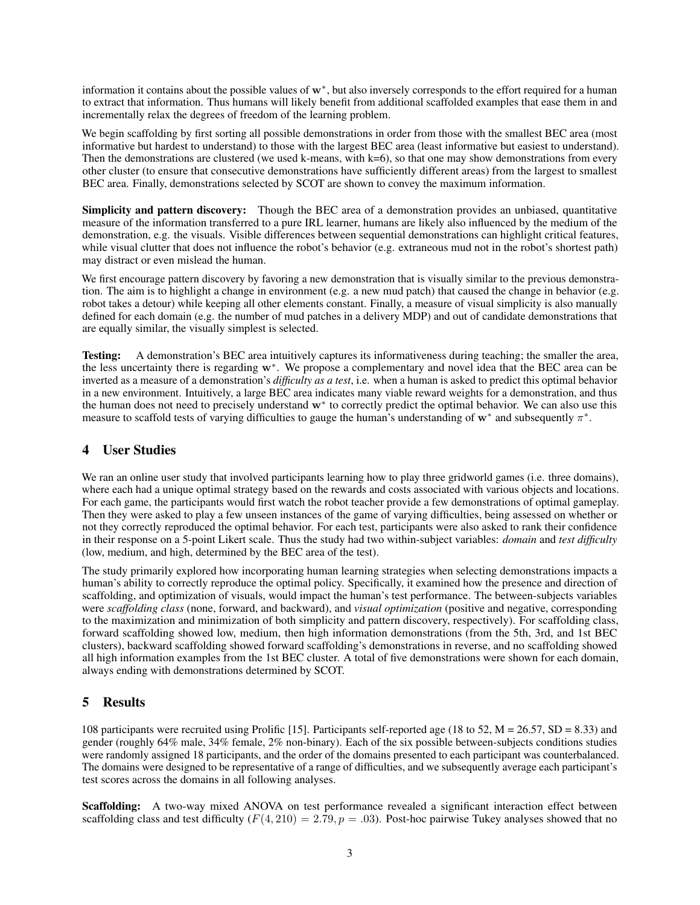information it contains about the possible values of w<sup>∗</sup> , but also inversely corresponds to the effort required for a human to extract that information. Thus humans will likely benefit from additional scaffolded examples that ease them in and incrementally relax the degrees of freedom of the learning problem.

We begin scaffolding by first sorting all possible demonstrations in order from those with the smallest BEC area (most informative but hardest to understand) to those with the largest BEC area (least informative but easiest to understand). Then the demonstrations are clustered (we used k-means, with  $k=6$ ), so that one may show demonstrations from every other cluster (to ensure that consecutive demonstrations have sufficiently different areas) from the largest to smallest BEC area. Finally, demonstrations selected by SCOT are shown to convey the maximum information.

Simplicity and pattern discovery: Though the BEC area of a demonstration provides an unbiased, quantitative measure of the information transferred to a pure IRL learner, humans are likely also influenced by the medium of the demonstration, e.g. the visuals. Visible differences between sequential demonstrations can highlight critical features, while visual clutter that does not influence the robot's behavior (e.g. extraneous mud not in the robot's shortest path) may distract or even mislead the human.

We first encourage pattern discovery by favoring a new demonstration that is visually similar to the previous demonstration. The aim is to highlight a change in environment (e.g. a new mud patch) that caused the change in behavior (e.g. robot takes a detour) while keeping all other elements constant. Finally, a measure of visual simplicity is also manually defined for each domain (e.g. the number of mud patches in a delivery MDP) and out of candidate demonstrations that are equally similar, the visually simplest is selected.

Testing: A demonstration's BEC area intuitively captures its informativeness during teaching; the smaller the area, the less uncertainty there is regarding w<sup>∗</sup> . We propose a complementary and novel idea that the BEC area can be inverted as a measure of a demonstration's *difficulty as a test*, i.e. when a human is asked to predict this optimal behavior in a new environment. Intuitively, a large BEC area indicates many viable reward weights for a demonstration, and thus the human does not need to precisely understand w<sup>∗</sup> to correctly predict the optimal behavior. We can also use this measure to scaffold tests of varying difficulties to gauge the human's understanding of  $w^*$  and subsequently  $\pi^*$ .

# 4 User Studies

We ran an online user study that involved participants learning how to play three gridworld games (i.e. three domains), where each had a unique optimal strategy based on the rewards and costs associated with various objects and locations. For each game, the participants would first watch the robot teacher provide a few demonstrations of optimal gameplay. Then they were asked to play a few unseen instances of the game of varying difficulties, being assessed on whether or not they correctly reproduced the optimal behavior. For each test, participants were also asked to rank their confidence in their response on a 5-point Likert scale. Thus the study had two within-subject variables: *domain* and *test difficulty* (low, medium, and high, determined by the BEC area of the test).

The study primarily explored how incorporating human learning strategies when selecting demonstrations impacts a human's ability to correctly reproduce the optimal policy. Specifically, it examined how the presence and direction of scaffolding, and optimization of visuals, would impact the human's test performance. The between-subjects variables were *scaffolding class* (none, forward, and backward), and *visual optimization* (positive and negative, corresponding to the maximization and minimization of both simplicity and pattern discovery, respectively). For scaffolding class, forward scaffolding showed low, medium, then high information demonstrations (from the 5th, 3rd, and 1st BEC clusters), backward scaffolding showed forward scaffolding's demonstrations in reverse, and no scaffolding showed all high information examples from the 1st BEC cluster. A total of five demonstrations were shown for each domain, always ending with demonstrations determined by SCOT.

# 5 Results

108 participants were recruited using Prolific [\[15\]](#page-5-4). Participants self-reported age (18 to 52, M = 26.57, SD = 8.33) and gender (roughly 64% male, 34% female, 2% non-binary). Each of the six possible between-subjects conditions studies were randomly assigned 18 participants, and the order of the domains presented to each participant was counterbalanced. The domains were designed to be representative of a range of difficulties, and we subsequently average each participant's test scores across the domains in all following analyses.

Scaffolding: A two-way mixed ANOVA on test performance revealed a significant interaction effect between scaffolding class and test difficulty  $(F(4, 210) = 2.79, p = .03)$ . Post-hoc pairwise Tukey analyses showed that no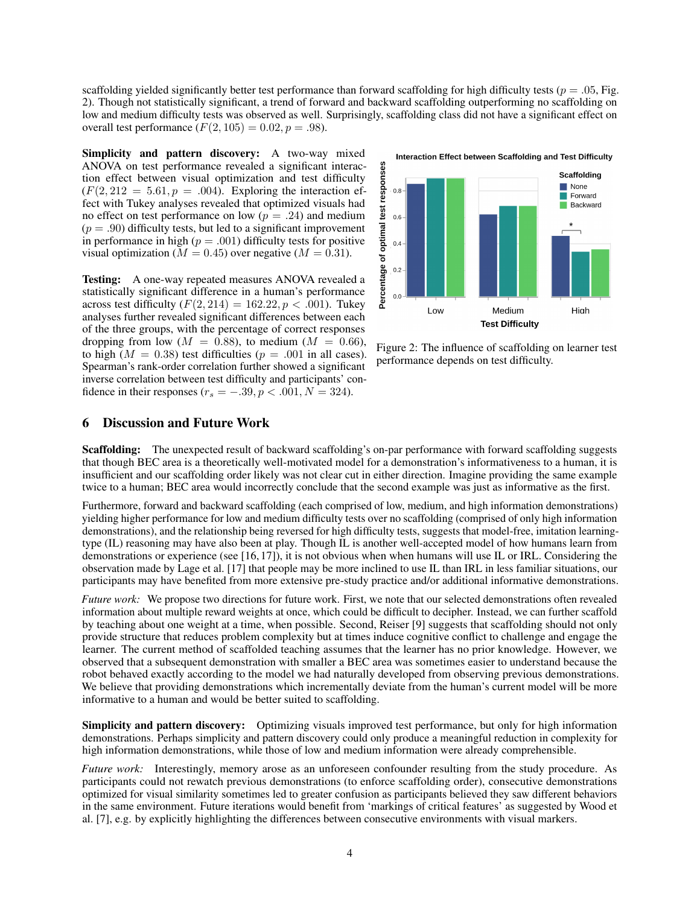scaffolding yielded significantly better test performance than forward scaffolding for high difficulty tests ( $p = .05$ , Fig. [2\)](#page-3-0). Though not statistically significant, a trend of forward and backward scaffolding outperforming no scaffolding on low and medium difficulty tests was observed as well. Surprisingly, scaffolding class did not have a significant effect on overall test performance  $(F(2, 105) = 0.02, p = .98)$ .

Simplicity and pattern discovery: A two-way mixed ANOVA on test performance revealed a significant interaction effect between visual optimization and test difficulty  $(F(2, 212 = 5.61, p = .004)$ . Exploring the interaction effect with Tukey analyses revealed that optimized visuals had no effect on test performance on low ( $p = .24$ ) and medium  $(p = .90)$  difficulty tests, but led to a significant improvement in performance in high ( $p = .001$ ) difficulty tests for positive visual optimization ( $M = 0.45$ ) over negative ( $M = 0.31$ ).

Testing: A one-way repeated measures ANOVA revealed a statistically significant difference in a human's performance across test difficulty  $(F(2, 214) = 162.22, p < .001)$ . Tukey analyses further revealed significant differences between each of the three groups, with the percentage of correct responses dropping from low ( $M = 0.88$ ), to medium ( $M = 0.66$ ), to high ( $M = 0.38$ ) test difficulties ( $p = .001$  in all cases). Spearman's rank-order correlation further showed a significant inverse correlation between test difficulty and participants' confidence in their responses ( $r_s = -.39, p < .001, N = 324$ ).

Interaction Effect between Scaffolding and Test Difficulty



<span id="page-3-0"></span>Figure 2: The influence of scaffolding on learner test performance depends on test difficulty.

## 6 Discussion and Future Work

Scaffolding: The unexpected result of backward scaffolding's on-par performance with forward scaffolding suggests that though BEC area is a theoretically well-motivated model for a demonstration's informativeness to a human, it is insufficient and our scaffolding order likely was not clear cut in either direction. Imagine providing the same example twice to a human; BEC area would incorrectly conclude that the second example was just as informative as the first.

Furthermore, forward and backward scaffolding (each comprised of low, medium, and high information demonstrations) yielding higher performance for low and medium difficulty tests over no scaffolding (comprised of only high information demonstrations), and the relationship being reversed for high difficulty tests, suggests that model-free, imitation learningtype (IL) reasoning may have also been at play. Though IL is another well-accepted model of how humans learn from demonstrations or experience (see [\[16,](#page-5-5) [17\]](#page-5-6)), it is not obvious when when humans will use IL or IRL. Considering the observation made by Lage et al. [\[17\]](#page-5-6) that people may be more inclined to use IL than IRL in less familiar situations, our participants may have benefited from more extensive pre-study practice and/or additional informative demonstrations.

*Future work:* We propose two directions for future work. First, we note that our selected demonstrations often revealed information about multiple reward weights at once, which could be difficult to decipher. Instead, we can further scaffold by teaching about one weight at a time, when possible. Second, Reiser [\[9\]](#page-4-7) suggests that scaffolding should not only provide structure that reduces problem complexity but at times induce cognitive conflict to challenge and engage the learner. The current method of scaffolded teaching assumes that the learner has no prior knowledge. However, we observed that a subsequent demonstration with smaller a BEC area was sometimes easier to understand because the robot behaved exactly according to the model we had naturally developed from observing previous demonstrations. We believe that providing demonstrations which incrementally deviate from the human's current model will be more informative to a human and would be better suited to scaffolding.

Simplicity and pattern discovery: Optimizing visuals improved test performance, but only for high information demonstrations. Perhaps simplicity and pattern discovery could only produce a meaningful reduction in complexity for high information demonstrations, while those of low and medium information were already comprehensible.

*Future work:* Interestingly, memory arose as an unforeseen confounder resulting from the study procedure. As participants could not rewatch previous demonstrations (to enforce scaffolding order), consecutive demonstrations optimized for visual similarity sometimes led to greater confusion as participants believed they saw different behaviors in the same environment. Future iterations would benefit from 'markings of critical features' as suggested by Wood et al. [\[7\]](#page-4-5), e.g. by explicitly highlighting the differences between consecutive environments with visual markers.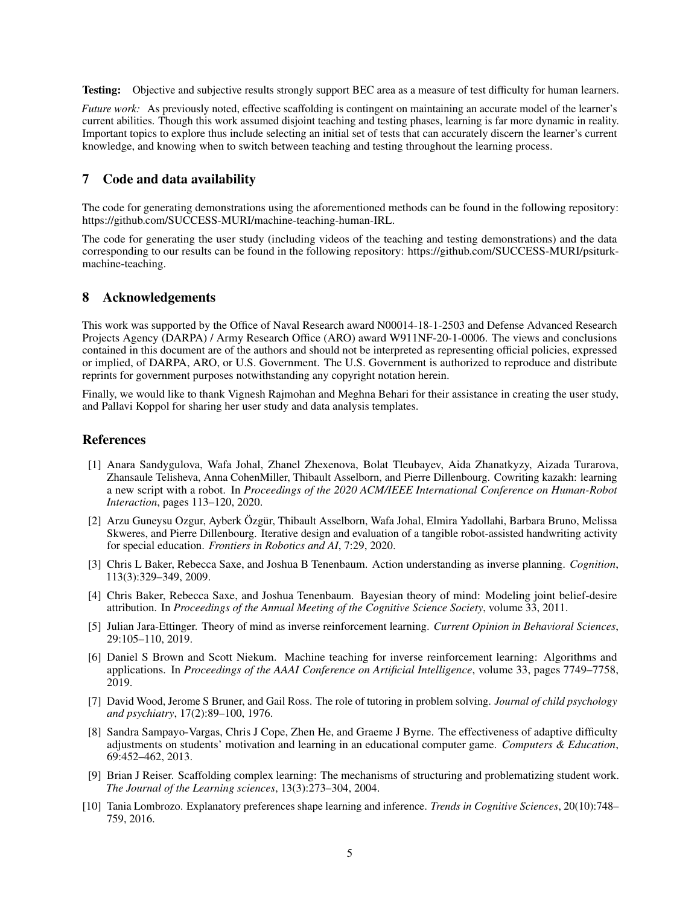**Testing:** Objective and subjective results strongly support BEC area as a measure of test difficulty for human learners.

*Future work:* As previously noted, effective scaffolding is contingent on maintaining an accurate model of the learner's current abilities. Though this work assumed disjoint teaching and testing phases, learning is far more dynamic in reality. Important topics to explore thus include selecting an initial set of tests that can accurately discern the learner's current knowledge, and knowing when to switch between teaching and testing throughout the learning process.

## 7 Code and data availability

The code for generating demonstrations using the aforementioned methods can be found in the following repository: https://github.com/SUCCESS-MURI/machine-teaching-human-IRL.

The code for generating the user study (including videos of the teaching and testing demonstrations) and the data corresponding to our results can be found in the following repository: https://github.com/SUCCESS-MURI/psiturkmachine-teaching.

## 8 Acknowledgements

This work was supported by the Office of Naval Research award N00014-18-1-2503 and Defense Advanced Research Projects Agency (DARPA) / Army Research Office (ARO) award W911NF-20-1-0006. The views and conclusions contained in this document are of the authors and should not be interpreted as representing official policies, expressed or implied, of DARPA, ARO, or U.S. Government. The U.S. Government is authorized to reproduce and distribute reprints for government purposes notwithstanding any copyright notation herein.

Finally, we would like to thank Vignesh Rajmohan and Meghna Behari for their assistance in creating the user study, and Pallavi Koppol for sharing her user study and data analysis templates.

### References

- <span id="page-4-0"></span>[1] Anara Sandygulova, Wafa Johal, Zhanel Zhexenova, Bolat Tleubayev, Aida Zhanatkyzy, Aizada Turarova, Zhansaule Telisheva, Anna CohenMiller, Thibault Asselborn, and Pierre Dillenbourg. Cowriting kazakh: learning a new script with a robot. In *Proceedings of the 2020 ACM/IEEE International Conference on Human-Robot Interaction*, pages 113–120, 2020.
- <span id="page-4-1"></span>[2] Arzu Guneysu Ozgur, Ayberk Özgür, Thibault Asselborn, Wafa Johal, Elmira Yadollahi, Barbara Bruno, Melissa Skweres, and Pierre Dillenbourg. Iterative design and evaluation of a tangible robot-assisted handwriting activity for special education. *Frontiers in Robotics and AI*, 7:29, 2020.
- <span id="page-4-2"></span>[3] Chris L Baker, Rebecca Saxe, and Joshua B Tenenbaum. Action understanding as inverse planning. *Cognition*, 113(3):329–349, 2009.
- [4] Chris Baker, Rebecca Saxe, and Joshua Tenenbaum. Bayesian theory of mind: Modeling joint belief-desire attribution. In *Proceedings of the Annual Meeting of the Cognitive Science Society*, volume 33, 2011.
- <span id="page-4-3"></span>[5] Julian Jara-Ettinger. Theory of mind as inverse reinforcement learning. *Current Opinion in Behavioral Sciences*, 29:105–110, 2019.
- <span id="page-4-4"></span>[6] Daniel S Brown and Scott Niekum. Machine teaching for inverse reinforcement learning: Algorithms and applications. In *Proceedings of the AAAI Conference on Artificial Intelligence*, volume 33, pages 7749–7758, 2019.
- <span id="page-4-5"></span>[7] David Wood, Jerome S Bruner, and Gail Ross. The role of tutoring in problem solving. *Journal of child psychology and psychiatry*, 17(2):89–100, 1976.
- <span id="page-4-6"></span>[8] Sandra Sampayo-Vargas, Chris J Cope, Zhen He, and Graeme J Byrne. The effectiveness of adaptive difficulty adjustments on students' motivation and learning in an educational computer game. *Computers & Education*, 69:452–462, 2013.
- <span id="page-4-7"></span>[9] Brian J Reiser. Scaffolding complex learning: The mechanisms of structuring and problematizing student work. *The Journal of the Learning sciences*, 13(3):273–304, 2004.
- <span id="page-4-8"></span>[10] Tania Lombrozo. Explanatory preferences shape learning and inference. *Trends in Cognitive Sciences*, 20(10):748– 759, 2016.